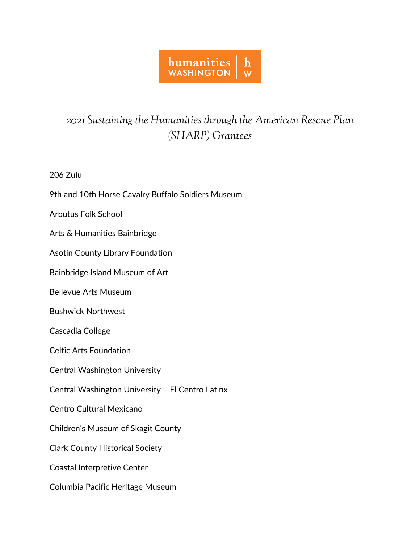## humanities<br>WASHINGTON  $\mathbf h$  $\overline{\mathsf{w}}$

## *2021 Sustaining the Humanities through the American Rescue Plan (SHARP) Grantees*

206 Zulu

9th and 10th Horse Cavalry Buffalo Soldiers Museum

Arbutus Folk School

Arts & Humanities Bainbridge

Asotin County Library Foundation

Bainbridge Island Museum of Art

Bellevue Arts Museum

Bushwick Northwest

Cascadia College

Celtic Arts Foundation

Central Washington University

Central Washington University – El Centro Latinx

Centro Cultural Mexicano

Children's Museum of Skagit County

Clark County Historical Society

Coastal Interpretive Center

Columbia Pacific Heritage Museum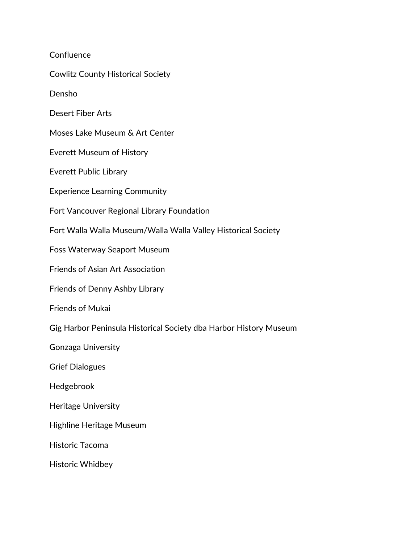**Confluence** Cowlitz County Historical Society Densho Desert Fiber Arts Moses Lake Museum & Art Center Everett Museum of History Everett Public Library Experience Learning Community Fort Vancouver Regional Library Foundation Fort Walla Walla Museum/Walla Walla Valley Historical Society Foss Waterway Seaport Museum Friends of Asian Art Association Friends of Denny Ashby Library Friends of Mukai Gig Harbor Peninsula Historical Society dba Harbor History Museum Gonzaga University Grief Dialogues Hedgebrook Heritage University Highline Heritage Museum Historic Tacoma Historic Whidbey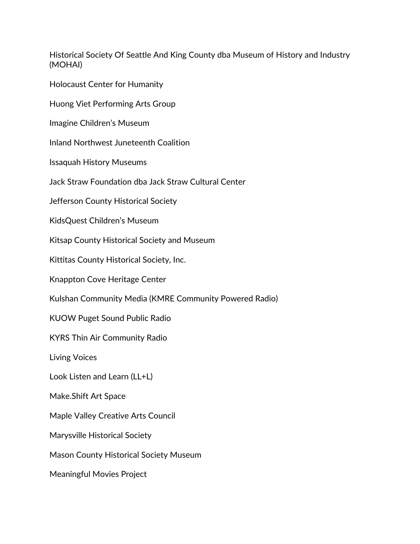Historical Society Of Seattle And King County dba Museum of History and Industry (MOHAI)

Holocaust Center for Humanity

Huong Viet Performing Arts Group

Imagine Children's Museum

Inland Northwest Juneteenth Coalition

Issaquah History Museums

Jack Straw Foundation dba Jack Straw Cultural Center

Jefferson County Historical Society

KidsQuest Children's Museum

Kitsap County Historical Society and Museum

Kittitas County Historical Society, Inc.

Knappton Cove Heritage Center

Kulshan Community Media (KMRE Community Powered Radio)

KUOW Puget Sound Public Radio

KYRS Thin Air Community Radio

Living Voices

Look Listen and Learn (LL+L)

Make.Shift Art Space

Maple Valley Creative Arts Council

Marysville Historical Society

Mason County Historical Society Museum

Meaningful Movies Project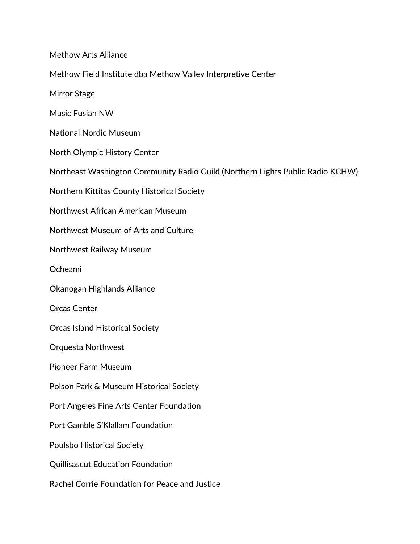Methow Arts Alliance Methow Field Institute dba Methow Valley Interpretive Center Mirror Stage Music Fusian NW National Nordic Museum North Olympic History Center Northeast Washington Community Radio Guild (Northern Lights Public Radio KCHW) Northern Kittitas County Historical Society Northwest African American Museum Northwest Museum of Arts and Culture Northwest Railway Museum Ocheami Okanogan Highlands Alliance Orcas Center Orcas Island Historical Society Orquesta Northwest Pioneer Farm Museum Polson Park & Museum Historical Society Port Angeles Fine Arts Center Foundation Port Gamble S'Klallam Foundation Poulsbo Historical Society Quillisascut Education Foundation Rachel Corrie Foundation for Peace and Justice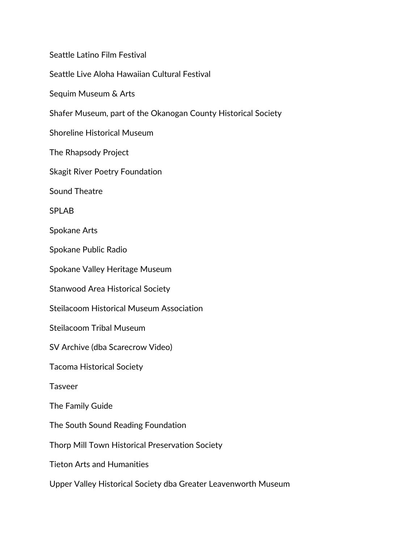Seattle Latino Film Festival Seattle Live Aloha Hawaiian Cultural Festival Sequim Museum & Arts Shafer Museum, part of the Okanogan County Historical Society Shoreline Historical Museum The Rhapsody Project Skagit River Poetry Foundation Sound Theatre SPLAB Spokane Arts Spokane Public Radio Spokane Valley Heritage Museum Stanwood Area Historical Society Steilacoom Historical Museum Association Steilacoom Tribal Museum SV Archive (dba Scarecrow Video) Tacoma Historical Society Tasveer The Family Guide The South Sound Reading Foundation Thorp Mill Town Historical Preservation Society Tieton Arts and Humanities Upper Valley Historical Society dba Greater Leavenworth Museum